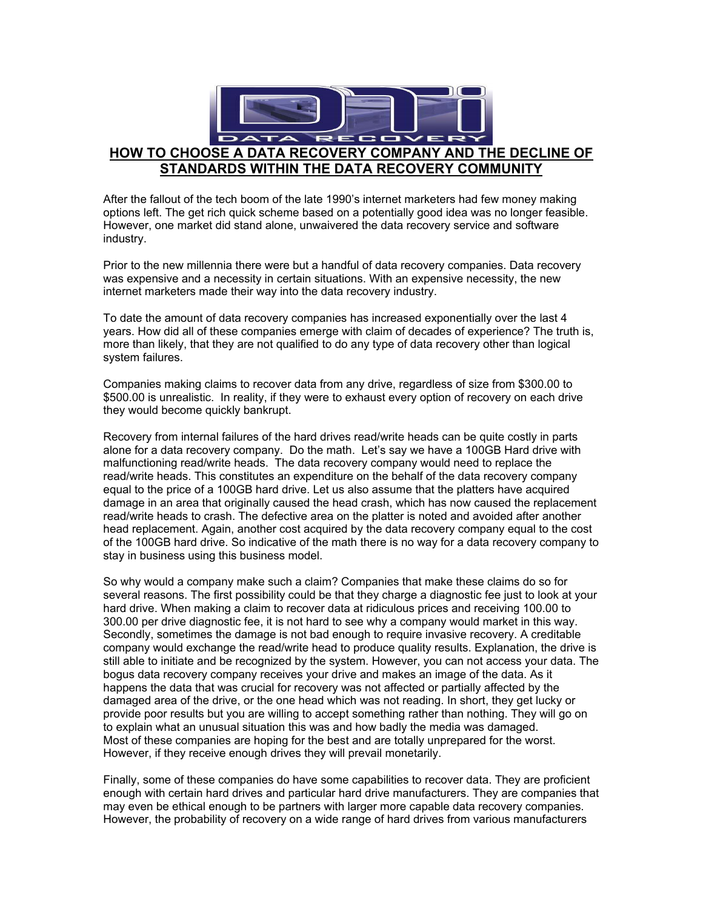

After the fallout of the tech boom of the late 1990's internet marketers had few money making options left. The get rich quick scheme based on a potentially good idea was no longer feasible. However, one market did stand alone, unwaivered the data recovery service and software industry.

Prior to the new millennia there were but a handful of data recovery companies. Data recovery was expensive and a necessity in certain situations. With an expensive necessity, the new internet marketers made their way into the data recovery industry.

To date the amount of data recovery companies has increased exponentially over the last 4 years. How did all of these companies emerge with claim of decades of experience? The truth is, more than likely, that they are not qualified to do any type of data recovery other than logical system failures.

Companies making claims to recover data from any drive, regardless of size from \$300.00 to \$500.00 is unrealistic. In reality, if they were to exhaust every option of recovery on each drive they would become quickly bankrupt.

Recovery from internal failures of the hard drives read/write heads can be quite costly in parts alone for a data recovery company. Do the math. Let's say we have a 100GB Hard drive with malfunctioning read/write heads. The data recovery company would need to replace the read/write heads. This constitutes an expenditure on the behalf of the data recovery company equal to the price of a 100GB hard drive. Let us also assume that the platters have acquired damage in an area that originally caused the head crash, which has now caused the replacement read/write heads to crash. The defective area on the platter is noted and avoided after another head replacement. Again, another cost acquired by the data recovery company equal to the cost of the 100GB hard drive. So indicative of the math there is no way for a data recovery company to stay in business using this business model.

So why would a company make such a claim? Companies that make these claims do so for several reasons. The first possibility could be that they charge a diagnostic fee just to look at your hard drive. When making a claim to recover data at ridiculous prices and receiving 100.00 to 300.00 per drive diagnostic fee, it is not hard to see why a company would market in this way. Secondly, sometimes the damage is not bad enough to require invasive recovery. A creditable company would exchange the read/write head to produce quality results. Explanation, the drive is still able to initiate and be recognized by the system. However, you can not access your data. The bogus data recovery company receives your drive and makes an image of the data. As it happens the data that was crucial for recovery was not affected or partially affected by the damaged area of the drive, or the one head which was not reading. In short, they get lucky or provide poor results but you are willing to accept something rather than nothing. They will go on to explain what an unusual situation this was and how badly the media was damaged. Most of these companies are hoping for the best and are totally unprepared for the worst. However, if they receive enough drives they will prevail monetarily.

Finally, some of these companies do have some capabilities to recover data. They are proficient enough with certain hard drives and particular hard drive manufacturers. They are companies that may even be ethical enough to be partners with larger more capable data recovery companies. However, the probability of recovery on a wide range of hard drives from various manufacturers